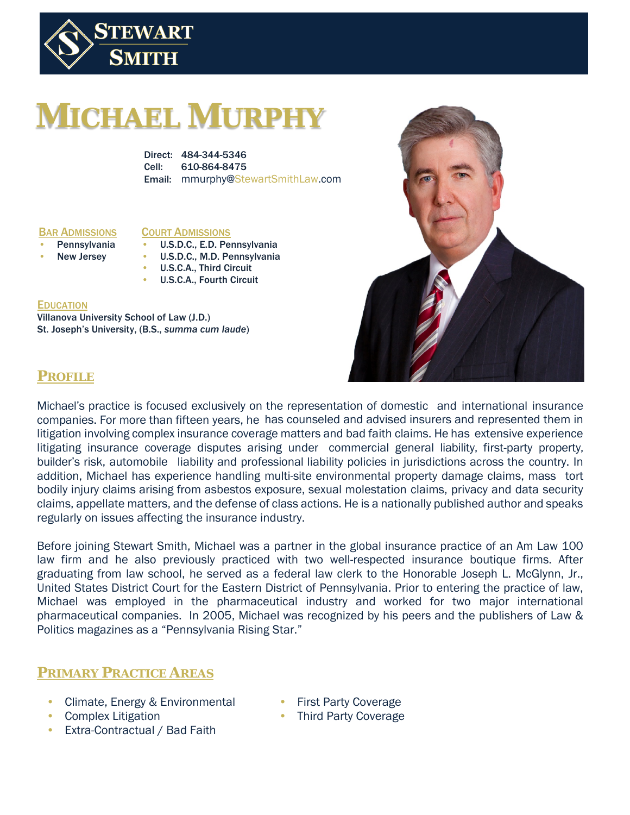

# **MICHAEL MURPHY**

Direct: 484-344-5346 Cell: 610-864-8475 Email: mmurphy@StewartSmithLaw.com

#### BAR ADMISSIONS

#### COURT ADMISSIONS

- **Pennsylvania**
- New Jersey
- U.S.D.C., M.D. Pennsylvania • U.S.C.A., Third Circuit

• U.S.D.C., E.D. Pennsylvania

• U.S.C.A., Fourth Circuit

#### **EDUCATION**

Villanova University School of Law (J.D.) St. Joseph's University, (B.S., *summa cum laude*)



## **PROFILE**

Michael's practice is focused exclusively on the representation of domestic and international insurance companies. For more than fifteen years, he has counseled and advised insurers and represented them in litigation involving complex insurance coverage matters and bad faith claims. He has extensive experience litigating insurance coverage disputes arising under commercial general liability, first-party property, builder's risk, automobile liability and professional liability policies in jurisdictions across the country. In addition, Michael has experience handling multi-site environmental property damage claims, mass tort bodily injury claims arising from asbestos exposure, sexual molestation claims, privacy and data security claims, appellate matters, and the defense of class actions. He is a nationally published author and speaks regularly on issues affecting the insurance industry.

Before joining Stewart Smith, Michael was a partner in the global insurance practice of an Am Law 100 law firm and he also previously practiced with two well-respected insurance boutique firms. After graduating from law school, he served as a federal law clerk to the Honorable Joseph L. McGlynn, Jr., United States District Court for the Eastern District of Pennsylvania. Prior to entering the practice of law, Michael was employed in the pharmaceutical industry and worked for two major international pharmaceutical companies. In 2005, Michael was recognized by his peers and the publishers of Law & Politics magazines as a "Pennsylvania Rising Star."

# **PRIMARY PRACTICE AREAS**

- Climate, Energy & Environmental
- First Party Coverage
- Complex Litigation
- Extra-Contractual / Bad Faith
- 
- Third Party Coverage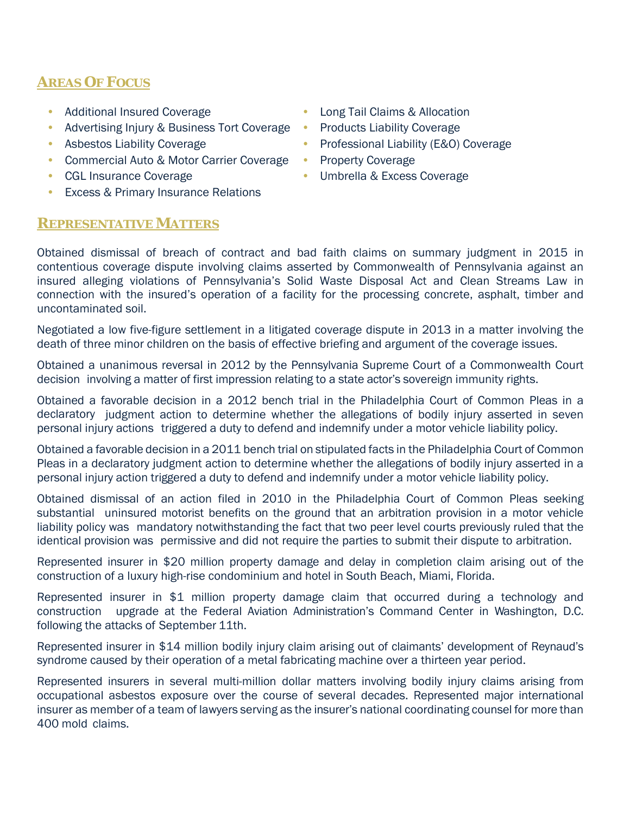# **AREAS OF FOCUS**

- Additional Insured Coverage
- Advertising Injury & Business Tort Coverage •
- Asbestos Liability Coverage
- Commercial Auto & Motor Carrier Coverage Property Coverage
- CGL Insurance Coverage
- Excess & Primary Insurance Relations

#### **REPRESENTATIVE MATTERS**

- Long Tail Claims & Allocation
- Products Liability Coverage
- Professional Liability (E&O) Coverage
- 
- Umbrella & Excess Coverage

Obtained dismissal of breach of contract and bad faith claims on summary judgment in 2015 in contentious coverage dispute involving claims asserted by Commonwealth of Pennsylvania against an insured alleging violations of Pennsylvania's Solid Waste Disposal Act and Clean Streams Law in connection with the insured's operation of a facility for the processing concrete, asphalt, timber and uncontaminated soil.

Negotiated a low five-figure settlement in a litigated coverage dispute in 2013 in a matter involving the death of three minor children on the basis of effective briefing and argument of the coverage issues.

Obtained a unanimous reversal in 2012 by the Pennsylvania Supreme Court of a Commonwealth Court decision involving a matter of first impression relating to a state actor's sovereign immunity rights.

Obtained a favorable decision in a 2012 bench trial in the Philadelphia Court of Common Pleas in a declaratory judgment action to determine whether the allegations of bodily injury asserted in seven personal injury actions triggered a duty to defend and indemnify under a motor vehicle liability policy.

Obtained a favorable decision in a 2011 bench trial on stipulated facts in the Philadelphia Court of Common Pleas in a declaratory judgment action to determine whether the allegations of bodily injury asserted in a personal injury action triggered a duty to defend and indemnify under a motor vehicle liability policy.

Obtained dismissal of an action filed in 2010 in the Philadelphia Court of Common Pleas seeking substantial uninsured motorist benefits on the ground that an arbitration provision in a motor vehicle liability policy was mandatory notwithstanding the fact that two peer level courts previously ruled that the identical provision was permissive and did not require the parties to submit their dispute to arbitration.

Represented insurer in \$20 million property damage and delay in completion claim arising out of the construction of a luxury high-rise condominium and hotel in South Beach, Miami, Florida.

Represented insurer in \$1 million property damage claim that occurred during a technology and construction upgrade at the Federal Aviation Administration's Command Center in Washington, D.C. following the attacks of September 11th.

Represented insurer in \$14 million bodily injury claim arising out of claimants' development of Reynaud's syndrome caused by their operation of a metal fabricating machine over a thirteen year period.

Represented insurers in several multi-million dollar matters involving bodily injury claims arising from occupational asbestos exposure over the course of several decades. Represented major international insurer as member of a team of lawyers serving as the insurer's national coordinating counsel for more than 400 mold claims.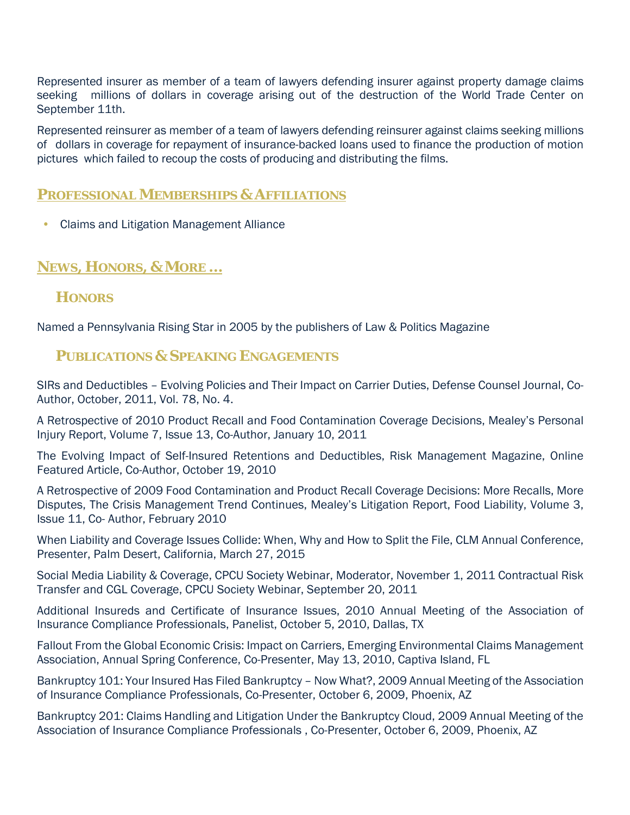Represented insurer as member of a team of lawyers defending insurer against property damage claims seeking millions of dollars in coverage arising out of the destruction of the World Trade Center on September 11th.

Represented reinsurer as member of a team of lawyers defending reinsurer against claims seeking millions of dollars in coverage for repayment of insurance-backed loans used to finance the production of motion pictures which failed to recoup the costs of producing and distributing the films.

#### **PROFESSIONAL MEMBERSHIPS & AFFILIATIONS**

• Claims and Litigation Management Alliance

# **NEWS, HONORS, & MORE …**

## **HONORS**

Named a Pennsylvania Rising Star in 2005 by the publishers of Law & Politics Magazine

## **PUBLICATIONS & SPEAKING ENGAGEMENTS**

SIRs and Deductibles – Evolving Policies and Their Impact on Carrier Duties, Defense Counsel Journal, Co-Author, October, 2011, Vol. 78, No. 4.

A Retrospective of 2010 Product Recall and Food Contamination Coverage Decisions, Mealey's Personal Injury Report, Volume 7, Issue 13, Co-Author, January 10, 2011

The Evolving Impact of Self-Insured Retentions and Deductibles, Risk Management Magazine, Online Featured Article, Co-Author, October 19, 2010

A Retrospective of 2009 Food Contamination and Product Recall Coverage Decisions: More Recalls, More Disputes, The Crisis Management Trend Continues, Mealey's Litigation Report, Food Liability, Volume 3, Issue 11, Co- Author, February 2010

When Liability and Coverage Issues Collide: When, Why and How to Split the File, CLM Annual Conference, Presenter, Palm Desert, California, March 27, 2015

Social Media Liability & Coverage, CPCU Society Webinar, Moderator, November 1, 2011 Contractual Risk Transfer and CGL Coverage, CPCU Society Webinar, September 20, 2011

Additional Insureds and Certificate of Insurance Issues, 2010 Annual Meeting of the Association of Insurance Compliance Professionals, Panelist, October 5, 2010, Dallas, TX

Fallout From the Global Economic Crisis: Impact on Carriers, Emerging Environmental Claims Management Association, Annual Spring Conference, Co-Presenter, May 13, 2010, Captiva Island, FL

Bankruptcy 101: Your Insured Has Filed Bankruptcy – Now What?, 2009 Annual Meeting of the Association of Insurance Compliance Professionals, Co-Presenter, October 6, 2009, Phoenix, AZ

Bankruptcy 201: Claims Handling and Litigation Under the Bankruptcy Cloud, 2009 Annual Meeting of the Association of Insurance Compliance Professionals , Co-Presenter, October 6, 2009, Phoenix, AZ